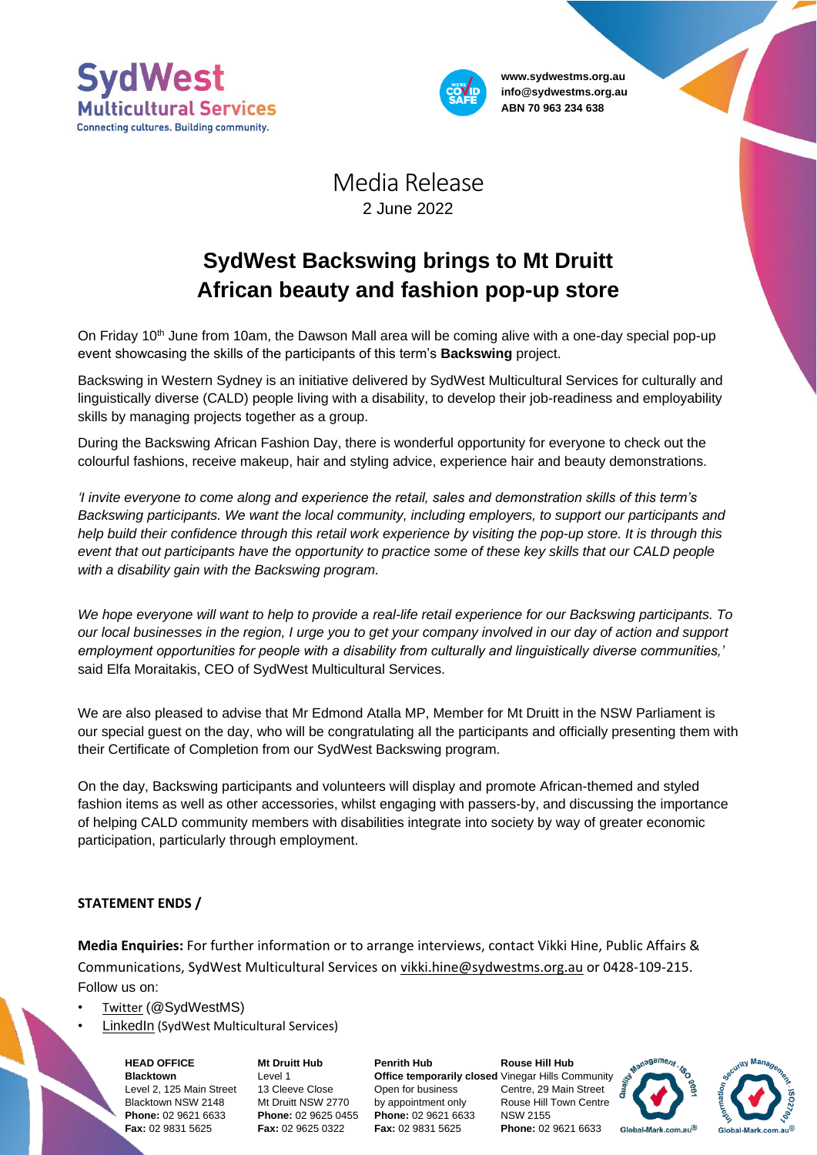



**www.sydwestms.org.au info@sydwestms.org.au ABN 70 963 234 638**

## Media Release 2 June 2022

## **SydWest Backswing brings to Mt Druitt African beauty and fashion pop-up store**

On Friday  $10<sup>th</sup>$  June from 10am, the Dawson Mall area will be coming alive with a one-day special pop-up event showcasing the skills of the participants of this term's **Backswing** project.

Backswing in Western Sydney is an initiative delivered by SydWest Multicultural Services for culturally and linguistically diverse (CALD) people living with a disability, to develop their job-readiness and employability skills by managing projects together as a group.

During the Backswing African Fashion Day, there is wonderful opportunity for everyone to check out the colourful fashions, receive makeup, hair and styling advice, experience hair and beauty demonstrations.

*'I invite everyone to come along and experience the retail, sales and demonstration skills of this term's Backswing participants. We want the local community, including employers, to support our participants and help build their confidence through this retail work experience by visiting the pop-up store. It is through this event that out participants have the opportunity to practice some of these key skills that our CALD people with a disability gain with the Backswing program.*

*We hope everyone will want to help to provide a real-life retail experience for our Backswing participants. To our local businesses in the region, I urge you to get your company involved in our day of action and support employment opportunities for people with a disability from culturally and linguistically diverse communities,'* said Elfa Moraitakis, CEO of SydWest Multicultural Services.

We are also pleased to advise that Mr Edmond Atalla MP, Member for Mt Druitt in the NSW Parliament is our special guest on the day, who will be congratulating all the participants and officially presenting them with their Certificate of Completion from our SydWest Backswing program.

On the day, Backswing participants and volunteers will display and promote African-themed and styled fashion items as well as other accessories, whilst engaging with passers-by, and discussing the importance of helping CALD community members with disabilities integrate into society by way of greater economic participation, particularly through employment.

## **STATEMENT ENDS /**

**Media Enquiries:** For further information or to arrange interviews, contact Vikki Hine, Public Affairs & Communications, SydWest Multicultural Services on [vikki.hine@sydwestms.org.au](mailto:vikki.hine@sydwestms.org.au) or 0428-109-215. Follow us on:

- [Twitter](https://twitter.com/SydWestMS) (@SydWestMS)
- [LinkedIn](https://www.linkedin.com/company/sydwest-multicultural-services/) (SydWest Multicultural Services)

**HEAD OFFICE Blacktown** Level 2, 125 Main Street Blacktown NSW 2148 **Phone:** 02 9621 6633 **Fax:** 02 9831 5625

**Mt Druitt Hub** Level 1 13 Cleeve Close Mt Druitt NSW 2770 **Phone:** 02 9625 0455 **Fax:** 02 9625 0322

**Penrith Hub** Open for business by appointment only **Phone:** 02 9621 6633 **Fax:** 02 9831 5625

**Office temporarily closed** Vinegar Hills Community **Rouse Hill Hub** Centre, 29 Main Street Rouse Hill Town Centre NSW 2155 **Phone:** 02 9621 6633